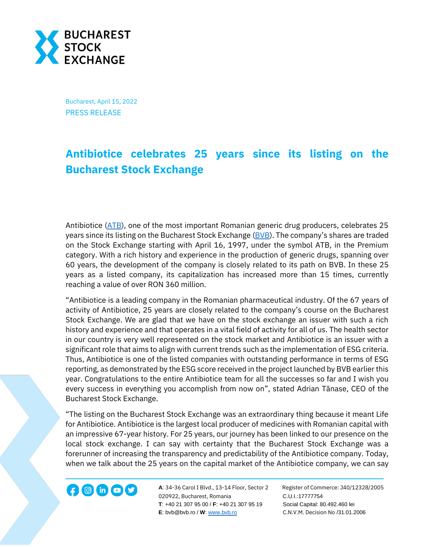

Bucharest, April 15, 2022 PRESS RELEASE

## **Antibiotice celebrates 25 years since its listing on the Bucharest Stock Exchange**

Antibiotice [\(ATB\)](https://bvb.ro/FinancialInstruments/Details/FinancialInstrumentsDetails.aspx?s=ATB), one of the most important Romanian generic drug producers, celebrates 25 years since its listing on the Bucharest Stock Exchange [\(BVB\)](https://bvb.ro/). The company's shares are traded on the Stock Exchange starting with April 16, 1997, under the symbol ATB, in the Premium category. With a rich history and experience in the production of generic drugs, spanning over 60 years, the development of the company is closely related to its path on BVB. In these 25 years as a listed company, its capitalization has increased more than 15 times, currently reaching a value of over RON 360 million.

"Antibiotice is a leading company in the Romanian pharmaceutical industry. Of the 67 years of activity of Antibiotice, 25 years are closely related to the company's course on the Bucharest Stock Exchange. We are glad that we have on the stock exchange an issuer with such a rich history and experience and that operates in a vital field of activity for all of us. The health sector in our country is very well represented on the stock market and Antibiotice is an issuer with a significant role that aims to align with current trends such as the implementation of ESG criteria. Thus, Antibiotice is one of the listed companies with outstanding performance in terms of ESG reporting, as demonstrated by the ESG score received in the project launched by BVB earlier this year. Congratulations to the entire Antibiotice team for all the successes so far and I wish you every success in everything you accomplish from now on", stated Adrian Tănase, CEO of the Bucharest Stock Exchange.

"The listing on the Bucharest Stock Exchange was an extraordinary thing because it meant Life for Antibiotice. Antibiotice is the largest local producer of medicines with Romanian capital with an impressive 67-year history. For 25 years, our journey has been linked to our presence on the local stock exchange. I can say with certainty that the Bucharest Stock Exchange was a forerunner of increasing the transparency and predictability of the Antibiotice company. Today, when we talk about the 25 years on the capital market of the Antibiotice company, we can say



**A**: 34-36 Carol I Blvd., 13-14 Floor, Sector 2 Register of Commerce: J40/12328/2005 **1200 in CD State A**: 34-36 Carol I Blvd., 13-14 Floor, Sector 2 Register of Comn<br>020922, Bucharest, Romania C.U.I.:17777754  **T**: +40 21 307 95 00 / **F**: +40 21 307 95 19 Social Capital: 80.492.460 lei **E**: bvb@bvb.ro / **W**[: www.bvb.ro](http://www.bvb.ro/) C.N.V.M. Decision No /31.01.2006